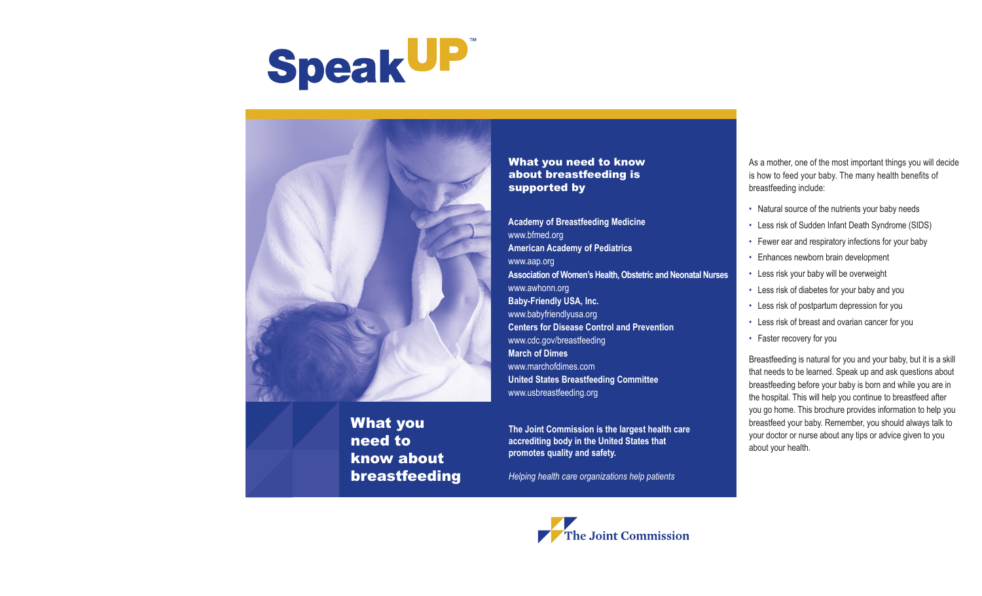



What you need to know about breastfeeding

What you need to know about breastfeeding is supported by

**Academy of Breastfeeding Medicine** www.bfmed.org **American Academy of Pediatrics** www.aap.org **Association of Women's Health, Obstetric and Neonatal Nurses**  www.awhonn.org **Baby-Friendly USA, Inc.** www.babyfriendlyusa.org **Centers for Disease Control and Prevention** www.cdc.gov/breastfeeding **March of Dimes** www.marchofdimes.com **United States Breastfeeding Committee**  www.usbreastfeeding.org

**The Joint Commission is the largest health care accrediting body in the United States that promotes quality and safety.**

*Helping health care organizations help patients*



- Natural source of the nutrients your baby needs
- Less risk of Sudden Infant Death Syndrome (SIDS)
- Fewer ear and respiratory infections for your baby
- Enhances newborn brain development
- Less risk your baby will be overweight
- Less risk of diabetes for your baby and you
- Less risk of postpartum depression for you
- Less risk of breast and ovarian cancer for you
- Faster recovery for you

Breastfeeding is natural for you and your baby, but it is a skill that needs to be learned. Speak up and ask questions about breastfeeding before your baby is born and while you are in the hospital. This will help you continue to breastfeed after you go home. This brochure provides information to help you breastfeed your baby. Remember, you should always talk to your doctor or nurse about any tips or advice given to you about your health.